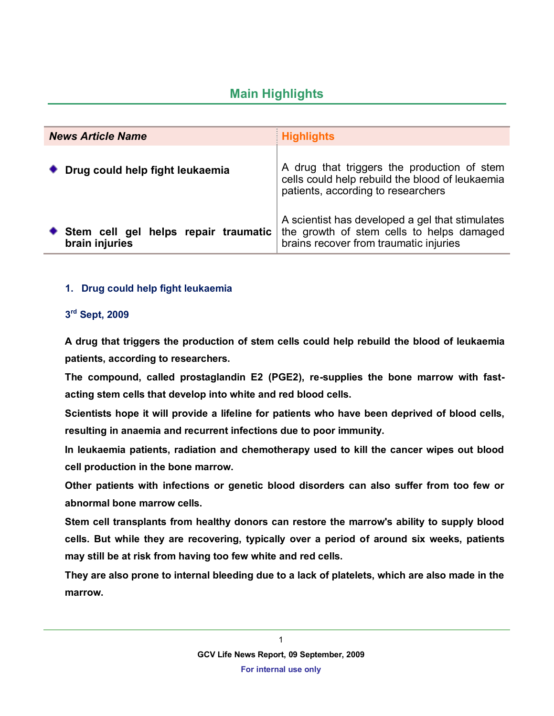## **Main Highlights**

| <b>News Article Name</b>                               | <b>Highlights</b>                                                                                                                      |
|--------------------------------------------------------|----------------------------------------------------------------------------------------------------------------------------------------|
| Drug could help fight leukaemia                        | A drug that triggers the production of stem<br>cells could help rebuild the blood of leukaemia<br>patients, according to researchers   |
| Stem cell gel helps repair traumatic<br>brain injuries | A scientist has developed a gel that stimulates<br>the growth of stem cells to helps damaged<br>brains recover from traumatic injuries |

## **1. Drug could help fight leukaemia**

## **3 rd Sept, 2009**

**A drug that triggers the production of stem cells could help rebuild the blood of leukaemia patients, according to researchers.**

**The compound, called prostaglandin E2 (PGE2), re-supplies the bone marrow with fastacting stem cells that develop into white and red blood cells.**

**Scientists hope it will provide a lifeline for patients who have been deprived of blood cells, resulting in anaemia and recurrent infections due to poor immunity.**

**In leukaemia patients, radiation and chemotherapy used to kill the cancer wipes out blood cell production in the bone marrow.**

**Other patients with infections or genetic blood disorders can also suffer from too few or abnormal bone marrow cells.**

**Stem cell transplants from healthy donors can restore the marrow's ability to supply blood cells. But while they are recovering, typically over a period of around six weeks, patients may still be at risk from having too few white and red cells.**

**They are also prone to internal bleeding due to a lack of platelets, which are also made in the marrow.**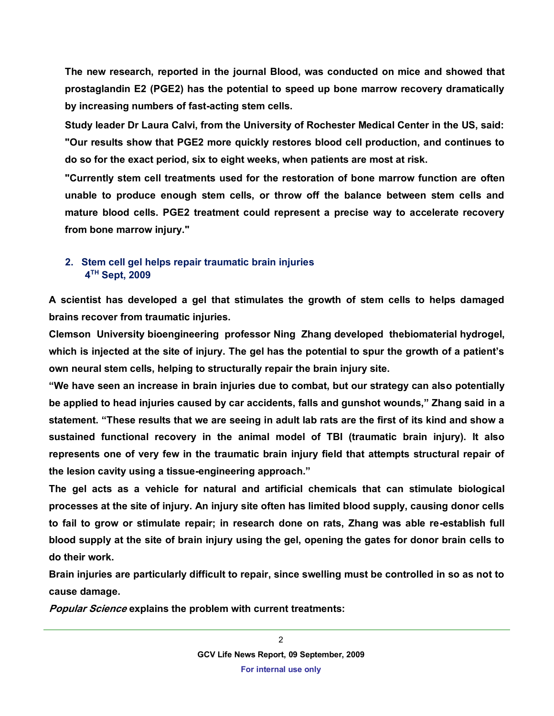**The new research, reported in the journal Blood, was conducted on mice and showed that prostaglandin E2 (PGE2) has the potential to speed up bone marrow recovery dramatically by increasing numbers of fast-acting stem cells.**

**Study leader Dr Laura Calvi, from the University of Rochester Medical Center in the US, said: "Our results show that PGE2 more quickly restores blood cell production, and continues to do so for the exact period, six to eight weeks, when patients are most at risk.**

**"Currently stem cell treatments used for the restoration of bone marrow function are often unable to produce enough stem cells, or throw off the balance between stem cells and mature blood cells. PGE2 treatment could represent a precise way to accelerate recovery from bone marrow injury."**

## **2. Stem cell gel helps repair traumatic brain injuries 4 TH Sept, 2009**

**A scientist has developed a gel that stimulates the growth of stem cells to helps damaged brains recover from traumatic injuries.**

**Clemson University bioengineering professor Ning Zhang developed thebiomaterial hydrogel, which is injected at the site of injury. The gel has the potential to spur the growth of a patient's own neural stem cells, helping to structurally repair the brain injury site.**

**"We have seen an increase in brain injuries due to combat, but our strategy can also potentially be applied to head injuries caused by car accidents, falls and gunshot wounds," Zhang said in a statement. "These results that we are seeing in adult lab rats are the first of its kind and show a sustained functional recovery in the animal model of TBI (traumatic brain injury). It also represents one of very few in the traumatic brain injury field that attempts structural repair of the lesion cavity using a tissue-engineering approach."**

**The gel acts as a vehicle for natural and artificial chemicals that can stimulate biological processes at the site of injury. An injury site often has limited blood supply, causing donor cells to fail to grow or stimulate repair; in research done on rats, Zhang was able re-establish full blood supply at the site of brain injury using the gel, opening the gates for donor brain cells to do their work.**

**Brain injuries are particularly difficult to repair, since swelling must be controlled in so as not to cause damage.**

**Popular Science explains the problem with current treatments:**